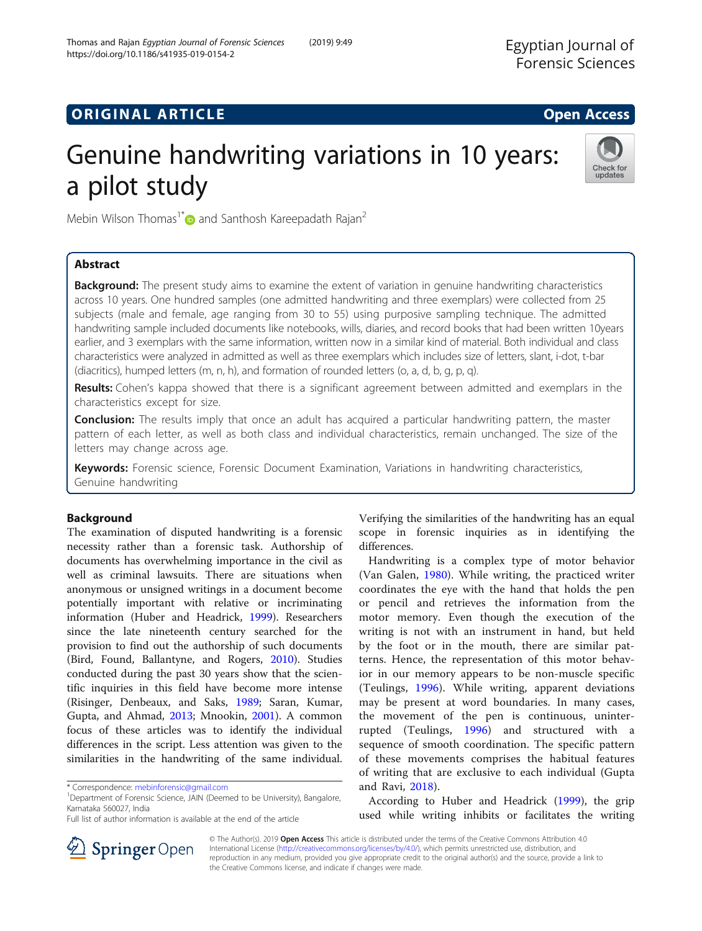https://doi.org/10.1186/s41935-019-0154-2

# Genuine handwriting variations in 10 years: a pilot study



Mebin Wilson Thomas<sup>1\*</sup> and Santhosh Kareepadath Rajan<sup>2</sup>

Thomas and Rajan Egyptian Journal of Forensic Sciences (2019) 9:49

# Abstract

Background: The present study aims to examine the extent of variation in genuine handwriting characteristics across 10 years. One hundred samples (one admitted handwriting and three exemplars) were collected from 25 subjects (male and female, age ranging from 30 to 55) using purposive sampling technique. The admitted handwriting sample included documents like notebooks, wills, diaries, and record books that had been written 10years earlier, and 3 exemplars with the same information, written now in a similar kind of material. Both individual and class characteristics were analyzed in admitted as well as three exemplars which includes size of letters, slant, i-dot, t-bar (diacritics), humped letters (m, n, h), and formation of rounded letters (o, a, d, b, g, p, q).

Results: Cohen's kappa showed that there is a significant agreement between admitted and exemplars in the characteristics except for size.

**Conclusion:** The results imply that once an adult has acquired a particular handwriting pattern, the master pattern of each letter, as well as both class and individual characteristics, remain unchanged. The size of the letters may change across age.

Keywords: Forensic science, Forensic Document Examination, Variations in handwriting characteristics, Genuine handwriting

# Background

The examination of disputed handwriting is a forensic necessity rather than a forensic task. Authorship of documents has overwhelming importance in the civil as well as criminal lawsuits. There are situations when anonymous or unsigned writings in a document become potentially important with relative or incriminating information (Huber and Headrick, [1999](#page-6-0)). Researchers since the late nineteenth century searched for the provision to find out the authorship of such documents (Bird, Found, Ballantyne, and Rogers, [2010](#page-6-0)). Studies conducted during the past 30 years show that the scientific inquiries in this field have become more intense (Risinger, Denbeaux, and Saks, [1989;](#page-6-0) Saran, Kumar, Gupta, and Ahmad, [2013;](#page-6-0) Mnookin, [2001\)](#page-6-0). A common focus of these articles was to identify the individual differences in the script. Less attention was given to the similarities in the handwriting of the same individual.

Verifying the similarities of the handwriting has an equal scope in forensic inquiries as in identifying the differences.

Handwriting is a complex type of motor behavior (Van Galen, [1980\)](#page-6-0). While writing, the practiced writer coordinates the eye with the hand that holds the pen or pencil and retrieves the information from the motor memory. Even though the execution of the writing is not with an instrument in hand, but held by the foot or in the mouth, there are similar patterns. Hence, the representation of this motor behavior in our memory appears to be non-muscle specific (Teulings, [1996](#page-6-0)). While writing, apparent deviations may be present at word boundaries. In many cases, the movement of the pen is continuous, uninterrupted (Teulings, [1996\)](#page-6-0) and structured with a sequence of smooth coordination. The specific pattern of these movements comprises the habitual features of writing that are exclusive to each individual (Gupta and Ravi, [2018\)](#page-6-0).

According to Huber and Headrick [\(1999\)](#page-6-0), the grip used while writing inhibits or facilitates the writing



© The Author(s). 2019 Open Access This article is distributed under the terms of the Creative Commons Attribution 4.0 International License ([http://creativecommons.org/licenses/by/4.0/\)](http://creativecommons.org/licenses/by/4.0/), which permits unrestricted use, distribution, and reproduction in any medium, provided you give appropriate credit to the original author(s) and the source, provide a link to the Creative Commons license, and indicate if changes were made.

<sup>\*</sup> Correspondence: [mebinforensic@gmail.com](mailto:mebinforensic@gmail.com) <sup>1</sup>

<sup>&</sup>lt;sup>1</sup>Department of Forensic Science, JAIN (Deemed to be University), Bangalore, Karnataka 560027, India

Full list of author information is available at the end of the article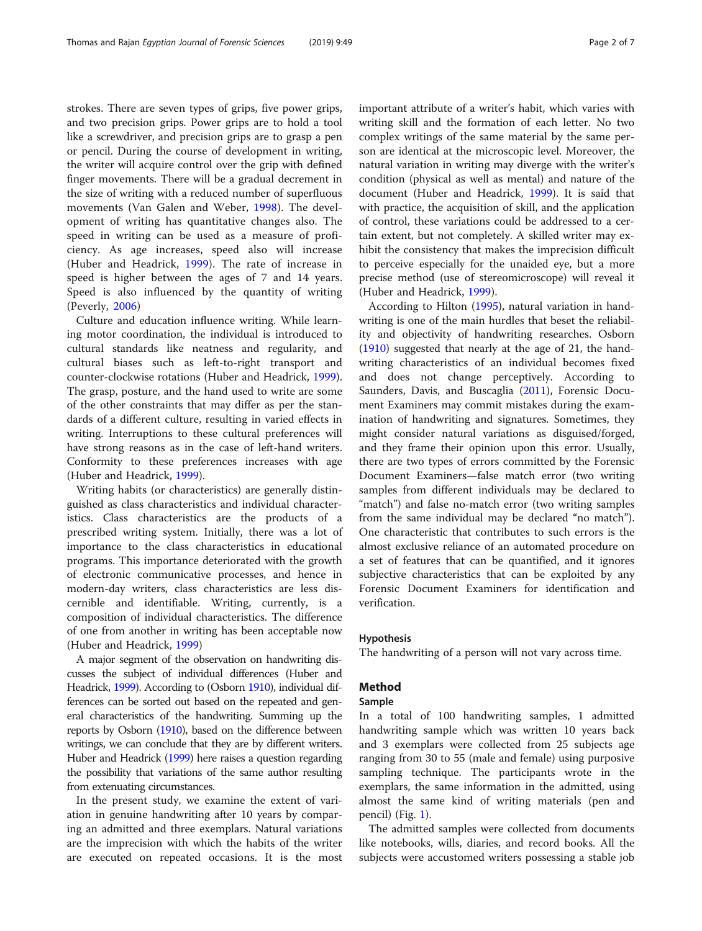strokes. There are seven types of grips, five power grips, and two precision grips. Power grips are to hold a tool like a screwdriver, and precision grips are to grasp a pen or pencil. During the course of development in writing, the writer will acquire control over the grip with defined finger movements. There will be a gradual decrement in the size of writing with a reduced number of superfluous movements (Van Galen and Weber, [1998](#page-6-0)). The development of writing has quantitative changes also. The speed in writing can be used as a measure of proficiency. As age increases, speed also will increase (Huber and Headrick, [1999](#page-6-0)). The rate of increase in speed is higher between the ages of 7 and 14 years. Speed is also influenced by the quantity of writing (Peverly, [2006](#page-6-0))

Culture and education influence writing. While learning motor coordination, the individual is introduced to cultural standards like neatness and regularity, and cultural biases such as left-to-right transport and counter-clockwise rotations (Huber and Headrick, [1999](#page-6-0)). The grasp, posture, and the hand used to write are some of the other constraints that may differ as per the standards of a different culture, resulting in varied effects in writing. Interruptions to these cultural preferences will have strong reasons as in the case of left-hand writers. Conformity to these preferences increases with age (Huber and Headrick, [1999\)](#page-6-0).

Writing habits (or characteristics) are generally distinguished as class characteristics and individual characteristics. Class characteristics are the products of a prescribed writing system. Initially, there was a lot of importance to the class characteristics in educational programs. This importance deteriorated with the growth of electronic communicative processes, and hence in modern-day writers, class characteristics are less discernible and identifiable. Writing, currently, is a composition of individual characteristics. The difference of one from another in writing has been acceptable now (Huber and Headrick, [1999\)](#page-6-0)

A major segment of the observation on handwriting discusses the subject of individual differences (Huber and Headrick, [1999\)](#page-6-0). According to (Osborn [1910](#page-6-0)), individual differences can be sorted out based on the repeated and general characteristics of the handwriting. Summing up the reports by Osborn [\(1910](#page-6-0)), based on the difference between writings, we can conclude that they are by different writers. Huber and Headrick ([1999](#page-6-0)) here raises a question regarding the possibility that variations of the same author resulting from extenuating circumstances.

In the present study, we examine the extent of variation in genuine handwriting after 10 years by comparing an admitted and three exemplars. Natural variations are the imprecision with which the habits of the writer are executed on repeated occasions. It is the most

important attribute of a writer's habit, which varies with writing skill and the formation of each letter. No two complex writings of the same material by the same person are identical at the microscopic level. Moreover, the natural variation in writing may diverge with the writer's condition (physical as well as mental) and nature of the document (Huber and Headrick, [1999\)](#page-6-0). It is said that with practice, the acquisition of skill, and the application of control, these variations could be addressed to a certain extent, but not completely. A skilled writer may exhibit the consistency that makes the imprecision difficult to perceive especially for the unaided eye, but a more precise method (use of stereomicroscope) will reveal it (Huber and Headrick, [1999\)](#page-6-0).

According to Hilton [\(1995\)](#page-6-0), natural variation in handwriting is one of the main hurdles that beset the reliability and objectivity of handwriting researches. Osborn ([1910\)](#page-6-0) suggested that nearly at the age of 21, the handwriting characteristics of an individual becomes fixed and does not change perceptively. According to Saunders, Davis, and Buscaglia ([2011\)](#page-6-0), Forensic Document Examiners may commit mistakes during the examination of handwriting and signatures. Sometimes, they might consider natural variations as disguised/forged, and they frame their opinion upon this error. Usually, there are two types of errors committed by the Forensic Document Examiners—false match error (two writing samples from different individuals may be declared to "match") and false no-match error (two writing samples from the same individual may be declared "no match"). One characteristic that contributes to such errors is the almost exclusive reliance of an automated procedure on a set of features that can be quantified, and it ignores subjective characteristics that can be exploited by any Forensic Document Examiners for identification and verification.

#### Hypothesis

The handwriting of a person will not vary across time.

# Method

#### Sample

In a total of 100 handwriting samples, 1 admitted handwriting sample which was written 10 years back and 3 exemplars were collected from 25 subjects age ranging from 30 to 55 (male and female) using purposive sampling technique. The participants wrote in the exemplars, the same information in the admitted, using almost the same kind of writing materials (pen and pencil) (Fig. [1\)](#page-2-0).

The admitted samples were collected from documents like notebooks, wills, diaries, and record books. All the subjects were accustomed writers possessing a stable job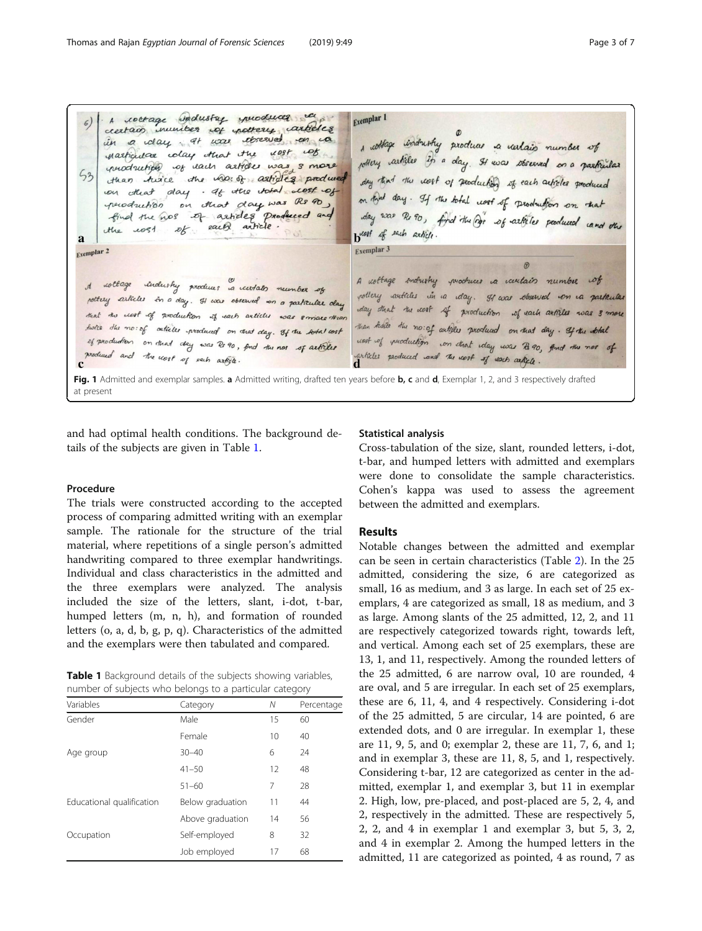<span id="page-2-0"></span>A roctage andustry yourduces Exemplar 1  $\epsilon)$ creatain municipal cop pottery carticles in a day at was observed on ca , withage industry produce a variais number of martigular colay that the nest cost pottery carticles in a day. It was observed on a particular production of rach articles was 3 more  $53$ the uno: of articles produce day that the cost of peoduction of each articles produced than twice day . If the total clost of was that on that day. If the total nost of production on that that day was Rs 90 peroduction  $\mathcal{D}$ day was Ro 90, find the Dor of articles produced cand one find the nos of articles produced and each article.  $.1081$  $\mathcal{D}k$  $H_{10}$ west of each article. a Exemplar 3 Exemplar<sub>2</sub>  $\vartheta$ A nottage industry produces a contain number of rottage industry produces is certain number of pottery articles in a day. It was observed on a particular pottery articles in a day. It was observed on a particular day day that the nort of production of each articles was 3 more that the clost of production if each articles was smare than than there the noist articles produced on that day. It the still hotel the no: of catales produced on that day. If the solal cost cost of puctuation con that iday was 2800, find the not of of production on that day was Rs 90, find the nos of articles produced and the work of each article. articles produced and The work of work article Fig. 1 Admitted and exemplar samples. a Admitted writing, drafted ten years before b, c and d, Exemplar 1, 2, and 3 respectively drafted at present

and had optimal health conditions. The background details of the subjects are given in Table 1.

#### Procedure

The trials were constructed according to the accepted process of comparing admitted writing with an exemplar sample. The rationale for the structure of the trial material, where repetitions of a single person's admitted handwriting compared to three exemplar handwritings. Individual and class characteristics in the admitted and the three exemplars were analyzed. The analysis included the size of the letters, slant, i-dot, t-bar, humped letters (m, n, h), and formation of rounded letters (o, a, d, b, g, p, q). Characteristics of the admitted and the exemplars were then tabulated and compared.

Table 1 Background details of the subjects showing variables, number of subjects who belongs to a particular category

| Variables                 | Category         | Ν  | Percentage |
|---------------------------|------------------|----|------------|
| Gender                    | Male             | 15 | 60         |
|                           | Female           | 10 | 40         |
| Age group                 | $30 - 40$        | 6  | 24         |
|                           | $41 - 50$        | 12 | 48         |
|                           | $51 - 60$        | 7  | 28         |
| Educational qualification | Below graduation | 11 | 44         |
|                           | Above graduation | 14 | 56         |
| Occupation                | Self-employed    | 8  | 32         |
|                           | Job employed     | 17 | 68         |

#### Statistical analysis

Cross-tabulation of the size, slant, rounded letters, i-dot, t-bar, and humped letters with admitted and exemplars were done to consolidate the sample characteristics. Cohen's kappa was used to assess the agreement between the admitted and exemplars.

## Results

Notable changes between the admitted and exemplar can be seen in certain characteristics (Table [2\)](#page-3-0). In the 25 admitted, considering the size, 6 are categorized as small, 16 as medium, and 3 as large. In each set of 25 exemplars, 4 are categorized as small, 18 as medium, and 3 as large. Among slants of the 25 admitted, 12, 2, and 11 are respectively categorized towards right, towards left, and vertical. Among each set of 25 exemplars, these are 13, 1, and 11, respectively. Among the rounded letters of the 25 admitted, 6 are narrow oval, 10 are rounded, 4 are oval, and 5 are irregular. In each set of 25 exemplars, these are 6, 11, 4, and 4 respectively. Considering i-dot of the 25 admitted, 5 are circular, 14 are pointed, 6 are extended dots, and 0 are irregular. In exemplar 1, these are 11, 9, 5, and 0; exemplar 2, these are 11, 7, 6, and 1; and in exemplar 3, these are 11, 8, 5, and 1, respectively. Considering t-bar, 12 are categorized as center in the admitted, exemplar 1, and exemplar 3, but 11 in exemplar 2. High, low, pre-placed, and post-placed are 5, 2, 4, and 2, respectively in the admitted. These are respectively 5, 2, 2, and 4 in exemplar 1 and exemplar 3, but 5, 3, 2, and 4 in exemplar 2. Among the humped letters in the admitted, 11 are categorized as pointed, 4 as round, 7 as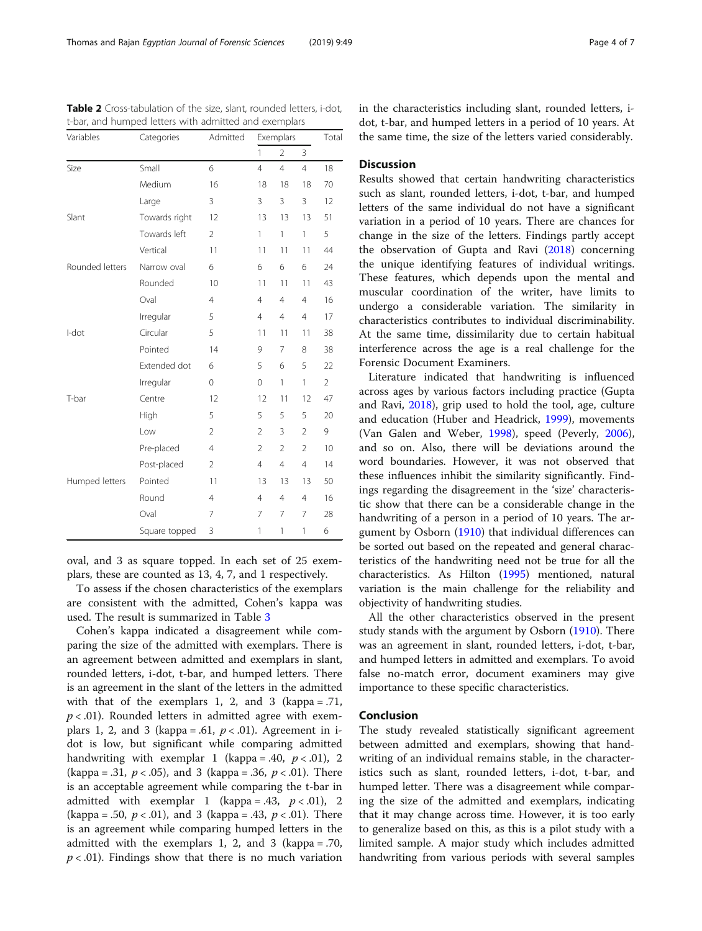| Variables       | Categories    | Admitted       | Exemplars      |                |                | Total          |  |
|-----------------|---------------|----------------|----------------|----------------|----------------|----------------|--|
|                 |               |                | $\mathbf{1}$   | $\overline{2}$ | 3              |                |  |
| Size            | Small         | 6              | $\overline{4}$ | $\overline{4}$ | $\overline{4}$ | 18             |  |
|                 | Medium        | 16             | 18             | 18             | 18             | 70             |  |
|                 | Large         | 3              | 3              | 3              | 3              | 12             |  |
| Slant           | Towards right | 12             | 13             | 13             | 13             | 51             |  |
|                 | Towards left  | $\overline{2}$ | 1              | 1              | 1              | 5              |  |
|                 | Vertical      | 11             | 11             | 11             | 11             | 44             |  |
| Rounded letters | Narrow oval   | 6              | 6              | 6              | 6              | 24             |  |
|                 | Rounded       | 10             | 11             | 11             | 11             | 43             |  |
|                 | Oval          | $\overline{4}$ | $\overline{4}$ | $\overline{4}$ | $\overline{4}$ | 16             |  |
|                 | Irregular     | 5              | $\overline{4}$ | $\overline{4}$ | $\overline{4}$ | 17             |  |
| I-dot           | Circular      | 5              | 11             | 11             | 11             | 38             |  |
|                 | Pointed       | 14             | 9              | $\overline{7}$ | 8              | 38             |  |
|                 | Extended dot  | 6              | 5              | 6              | 5              | 22             |  |
|                 | Irregular     | $\mathbf 0$    | $\mathbf 0$    | 1              | $\mathbf{1}$   | $\overline{2}$ |  |
| T-bar           | Centre        | 12             | 12             | 11             | 12             | 47             |  |
|                 | High          | 5              | 5              | 5              | 5              | 20             |  |
|                 | Low           | $\overline{2}$ | $\overline{2}$ | 3              | 2              | 9              |  |
|                 | Pre-placed    | $\overline{4}$ | $\overline{2}$ | $\overline{2}$ | $\overline{2}$ | 10             |  |
|                 | Post-placed   | $\overline{2}$ | $\overline{4}$ | $\overline{4}$ | $\overline{4}$ | 14             |  |
| Humped letters  | Pointed       | 11             | 13             | 13             | 13             | 50             |  |
|                 | Round         | $\overline{4}$ | $\overline{4}$ | $\overline{4}$ | $\overline{4}$ | 16             |  |
|                 | Oval          | 7              | 7              | 7              | 7              | 28             |  |
|                 | Square topped | 3              | 1              | 1              | 1              | 6              |  |

<span id="page-3-0"></span>Table 2 Cross-tabulation of the size, slant, rounded letters, i-dot, t-bar, and humped letters with admitted and exemplars

oval, and 3 as square topped. In each set of 25 exemplars, these are counted as 13, 4, 7, and 1 respectively.

To assess if the chosen characteristics of the exemplars are consistent with the admitted, Cohen's kappa was used. The result is summarized in Table [3](#page-4-0)

Cohen's kappa indicated a disagreement while comparing the size of the admitted with exemplars. There is an agreement between admitted and exemplars in slant, rounded letters, i-dot, t-bar, and humped letters. There is an agreement in the slant of the letters in the admitted with that of the exemplars 1, 2, and 3 (kappa =  $.71$ ,  $p < .01$ ). Rounded letters in admitted agree with exemplars 1, 2, and 3 (kappa = .61,  $p < .01$ ). Agreement in idot is low, but significant while comparing admitted handwriting with exemplar 1 (kappa = .40,  $p < .01$ ), 2 (kappa = .31,  $p < .05$ ), and 3 (kappa = .36,  $p < .01$ ). There is an acceptable agreement while comparing the t-bar in admitted with exemplar 1 (kappa = .43,  $p < .01$ ), 2 (kappa = .50,  $p < .01$ ), and 3 (kappa = .43,  $p < .01$ ). There is an agreement while comparing humped letters in the admitted with the exemplars 1, 2, and 3 (kappa = .70,  $p < .01$ ). Findings show that there is no much variation in the characteristics including slant, rounded letters, idot, t-bar, and humped letters in a period of 10 years. At the same time, the size of the letters varied considerably.

# **Discussion**

Results showed that certain handwriting characteristics such as slant, rounded letters, i-dot, t-bar, and humped letters of the same individual do not have a significant variation in a period of 10 years. There are chances for change in the size of the letters. Findings partly accept the observation of Gupta and Ravi [\(2018\)](#page-6-0) concerning the unique identifying features of individual writings. These features, which depends upon the mental and muscular coordination of the writer, have limits to undergo a considerable variation. The similarity in characteristics contributes to individual discriminability. At the same time, dissimilarity due to certain habitual interference across the age is a real challenge for the Forensic Document Examiners.

Literature indicated that handwriting is influenced across ages by various factors including practice (Gupta and Ravi, [2018\)](#page-6-0), grip used to hold the tool, age, culture and education (Huber and Headrick, [1999](#page-6-0)), movements (Van Galen and Weber, [1998](#page-6-0)), speed (Peverly, [2006](#page-6-0)), and so on. Also, there will be deviations around the word boundaries. However, it was not observed that these influences inhibit the similarity significantly. Findings regarding the disagreement in the 'size' characteristic show that there can be a considerable change in the handwriting of a person in a period of 10 years. The argument by Osborn ([1910](#page-6-0)) that individual differences can be sorted out based on the repeated and general characteristics of the handwriting need not be true for all the characteristics. As Hilton ([1995](#page-6-0)) mentioned, natural variation is the main challenge for the reliability and objectivity of handwriting studies.

All the other characteristics observed in the present study stands with the argument by Osborn [\(1910\)](#page-6-0). There was an agreement in slant, rounded letters, i-dot, t-bar, and humped letters in admitted and exemplars. To avoid false no-match error, document examiners may give importance to these specific characteristics.

#### Conclusion

The study revealed statistically significant agreement between admitted and exemplars, showing that handwriting of an individual remains stable, in the characteristics such as slant, rounded letters, i-dot, t-bar, and humped letter. There was a disagreement while comparing the size of the admitted and exemplars, indicating that it may change across time. However, it is too early to generalize based on this, as this is a pilot study with a limited sample. A major study which includes admitted handwriting from various periods with several samples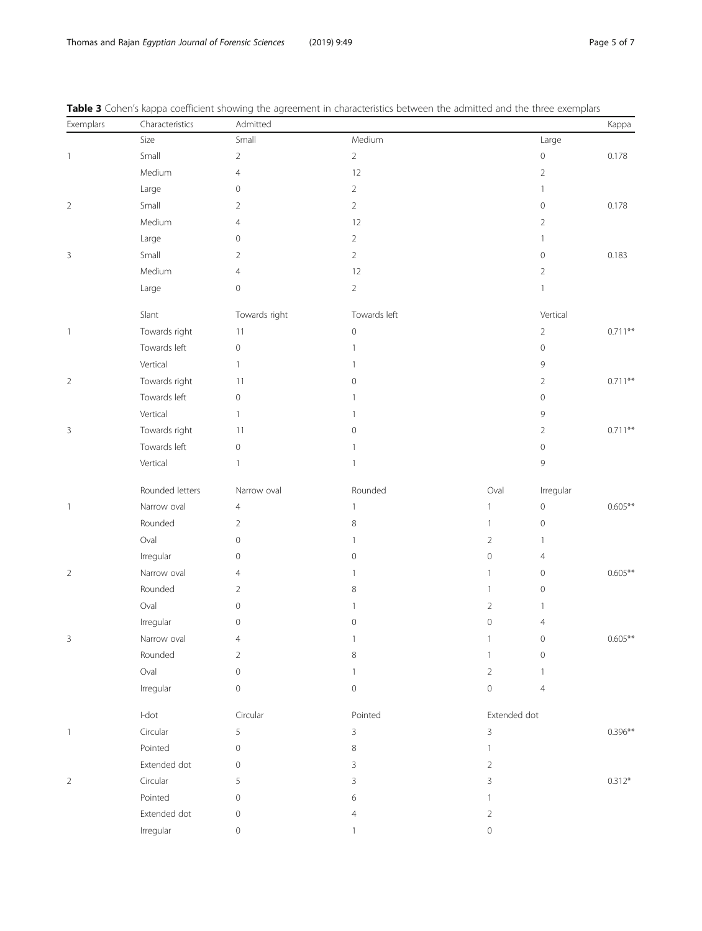| Exemplars                | Characteristics | Admitted                 |                |                     |                | Kappa     |
|--------------------------|-----------------|--------------------------|----------------|---------------------|----------------|-----------|
|                          | Size            | Small                    | Medium         |                     | Large          |           |
| $\mathbf{1}$             | Small           | $\overline{2}$           | $\overline{2}$ |                     | $\mathbb O$    | 0.178     |
|                          | Medium          | $\overline{4}$           | 12             |                     | $\overline{2}$ |           |
|                          | Large           | 0                        | $\overline{2}$ |                     | 1              |           |
| $\sqrt{2}$               | Small           | 2                        | $\overline{2}$ |                     | $\mathbf 0$    | 0.178     |
|                          | Medium          | 4                        | 12             |                     | $\overline{2}$ |           |
|                          | Large           | 0                        | $\overline{2}$ |                     | 1              |           |
| $\mathsf 3$              | Small           | $\overline{2}$           | $\overline{2}$ |                     | $\circ$        | 0.183     |
|                          | Medium          | 4                        | 12             |                     | $\overline{2}$ |           |
|                          | Large           | $\mathbb O$              | $\overline{2}$ |                     | $\mathbf{1}$   |           |
|                          | Slant           | Towards right            | Towards left   |                     | Vertical       |           |
| $\overline{1}$           | Towards right   | 11                       | $\mathbf 0$    |                     | $\overline{2}$ | $0.711**$ |
|                          | Towards left    | $\circ$                  | $\mathbf{1}$   |                     | $\circ$        |           |
|                          | Vertical        | $\mathbf{1}$             | 1              |                     | $\mathcal{G}$  |           |
| $\sqrt{2}$               | Towards right   | 11                       | 0              |                     | 2              | $0.711**$ |
|                          | Towards left    | $\circ$                  | 1              |                     | $\circ$        |           |
|                          | Vertical        | $\mathbf{1}$             | 1              |                     | 9              |           |
| $\mathbf{3}$             | Towards right   | 11                       | 0              |                     | 2              | $0.711**$ |
|                          | Towards left    | $\circ$                  | 1              |                     | $\circ$        |           |
|                          | Vertical        | $\mathbf{1}$             | $\mathbf{1}$   |                     | $\mathcal{G}$  |           |
|                          | Rounded letters | Narrow oval              | Rounded        | Oval                | Irregular      |           |
| $\overline{\phantom{a}}$ | Narrow oval     | $\overline{4}$           | $\mathbf{1}$   | $\mathbf{1}$        | $\mathbb O$    | $0.605**$ |
|                          | Rounded         | $\overline{2}$           | 8              | $\mathbf{1}$        | $\mathbb O$    |           |
|                          | Oval            | $\mathbf{0}$             | $\mathbf{1}$   | $\overline{2}$      | 1              |           |
|                          | Irregular       | 0                        | 0              | $\mathsf{O}\xspace$ | 4              |           |
| $\sqrt{2}$               | Narrow oval     | 4                        | $\mathbf{1}$   | $\mathbf{1}$        | $\circ$        | $0.605**$ |
|                          | Rounded         | 2                        | 8              | $\mathbf{1}$        | $\circ$        |           |
|                          | Oval            | 0                        | 1              | $\overline{2}$      | 1              |           |
|                          | Irregular       | 0                        | 0              | $\mathbf 0$         | 4              |           |
| 3                        | Narrow oval     | $\overline{\mathcal{A}}$ | $\mathbf{1}$   | 1                   | 0              | $0.605**$ |
|                          | Rounded         | $\overline{2}$           | 8              | $\mathbf{1}$        | $\mathbb O$    |           |
|                          | Oval            | $\mathbf{0}$             | 1              | $\overline{2}$      |                |           |
|                          | Irregular       | $\mathbb O$              | $\mathbf 0$    | $\mathsf{O}\xspace$ | $\overline{4}$ |           |
|                          | $I$ -dot        | Circular                 | Pointed        | Extended dot        |                |           |
| $\overline{\phantom{a}}$ | Circular        | 5                        | 3              | 3                   |                | $0.396**$ |
|                          | Pointed         | 0                        | 8              | 1                   |                |           |
|                          | Extended dot    | $\mathbf 0$              | 3              | $\overline{2}$      |                |           |
| $\overline{2}$           | Circular        | 5                        | 3              | 3                   |                | $0.312*$  |
|                          | Pointed         | $\mathbf 0$              | 6              | 1                   |                |           |
|                          | Extended dot    | $\mathbf 0$              | 4              | $\overline{2}$      |                |           |
|                          | Irregular       | $\mathbf 0$              | $\mathbf{1}$   | $\mathbf 0$         |                |           |

<span id="page-4-0"></span>Table 3 Cohen's kappa coefficient showing the agreement in characteristics between the admitted and the three exemplars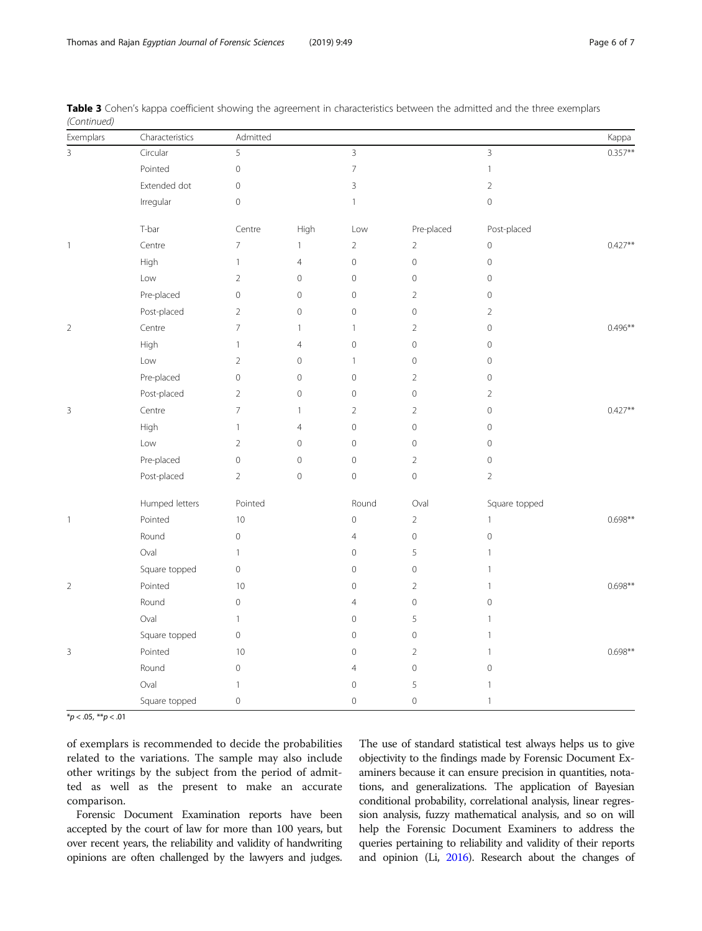| Exemplars                | Characteristics | Admitted                 |                |                          |                |                     | Kappa      |
|--------------------------|-----------------|--------------------------|----------------|--------------------------|----------------|---------------------|------------|
| $\overline{3}$           | Circular        | 5                        |                | 3                        |                | $\overline{3}$      | $0.357***$ |
|                          | Pointed         | $\mathbb O$              |                | $\overline{\phantom{a}}$ |                | $\mathbf{1}$        |            |
|                          | Extended dot    | $\mathbb O$              |                | $\overline{3}$           |                | $\overline{2}$      |            |
|                          | Irregular       | $\mathbb O$              |                | $\mathbf{1}$             |                | $\mathsf{O}\xspace$ |            |
|                          | T-bar           | Centre                   | High           | Low                      | Pre-placed     | Post-placed         |            |
| $\mathbf{1}$             | Centre          | $\overline{7}$           | $\mathbf{1}$   | $\overline{2}$           | $\overline{2}$ | $\mathbf 0$         | $0.427**$  |
|                          | High            | $\mathbf{1}$             | $\overline{4}$ | $\mathsf{O}\xspace$      | $\mathbf 0$    | $\mathsf{O}\xspace$ |            |
|                          | Low             | $\overline{2}$           | $\mathbf 0$    | 0                        | $\mathbf 0$    | $\circledcirc$      |            |
|                          | Pre-placed      | $\mathbb O$              | $\mathbf 0$    | $\mathsf{O}\xspace$      | $\overline{2}$ | $\mathbf 0$         |            |
|                          | Post-placed     | $\overline{2}$           | $\mathbf 0$    | 0                        | $\mathbf 0$    | $\overline{2}$      |            |
| $\overline{2}$           | Centre          | $\overline{7}$           | $\mathbf{1}$   | $\mathbf{1}$             | $\overline{2}$ | $\mathbf 0$         | $0.496**$  |
|                          | High            | $\mathbf{1}$             | $\overline{4}$ | $\mathsf{O}\xspace$      | $\mathbf 0$    | $\mathbf 0$         |            |
|                          | Low             | $\overline{2}$           | $\mathbf 0$    | $\mathbf{1}$             | $\mathbf 0$    | $\mathbf 0$         |            |
|                          | Pre-placed      | $\mathbb O$              | $\mathbf 0$    | $\mathbf 0$              | $\overline{2}$ | $\mathbf 0$         |            |
|                          | Post-placed     | $\overline{2}$           | $\mathbf 0$    | 0                        | $\mathbf 0$    | $\overline{2}$      |            |
| 3                        | Centre          | $\overline{\phantom{a}}$ | $\mathbf{1}$   | $\overline{2}$           | $\overline{2}$ | $\mathsf{O}\xspace$ | $0.427**$  |
|                          | High            | $\mathbf{1}$             | $\overline{4}$ | $\mathbf 0$              | $\mathbf 0$    | $\mathbf 0$         |            |
|                          | Low             | $\overline{2}$           | $\mathbf 0$    | $\mathbf 0$              | $\mathbf 0$    | $\mathsf{O}\xspace$ |            |
|                          | Pre-placed      | $\circ$                  | $\mathbf 0$    | 0                        | $\overline{2}$ | $\mathsf{O}\xspace$ |            |
|                          | Post-placed     | $\overline{2}$           | $\mathbf 0$    | $\mathsf{O}\xspace$      | $\mathsf O$    | $\overline{2}$      |            |
|                          | Humped letters  | Pointed                  |                | Round                    | Oval           | Square topped       |            |
| $\overline{\phantom{a}}$ | Pointed         | 10                       |                | $\mathbf 0$              | $\overline{2}$ | $\mathbb{1}$        | $0.698**$  |
|                          | Round           | $\mathbf 0$              |                | $\overline{4}$           | $\mathbf 0$    | $\mathbf 0$         |            |
|                          | Oval            | $\overline{1}$           |                | 0                        | 5              | $\mathbf{1}$        |            |
|                          | Square topped   | $\mathbb O$              |                | $\mathsf{O}\xspace$      | $\mathbf 0$    | $\mathbf{1}$        |            |
| $\overline{2}$           | Pointed         | 10                       |                | $\mathbf 0$              | $\overline{2}$ | $\mathbf{1}$        | $0.698**$  |
|                          | Round           | $\mathbb O$              |                | $\overline{4}$           | $\mathbf 0$    | $\mathbf 0$         |            |
|                          | Oval            | $\mathbf{1}$             |                | $\mathsf{O}\xspace$      | 5              | $\mathbf{1}$        |            |
|                          | Square topped   | $\mathbb O$              |                | 0                        | $\mathbf 0$    | $\mathbf{1}$        |            |
| 3                        | Pointed         | 10                       |                | 0                        | $\overline{2}$ | $\mathbb{1}$        | $0.698**$  |
|                          | Round           | $\mathbb O$              |                | 4                        | $\mathbf{0}$   | $\mathbf 0$         |            |
|                          | Oval            | $\mathbf{1}$             |                | $\mathsf{O}\xspace$      | 5              | $\mathbf{1}$        |            |
|                          | Square topped   | $\mathbb O$              |                | 0                        | $\mathbf 0$    | $\mathbf{1}$        |            |

Table 3 Cohen's kappa coefficient showing the agreement in characteristics between the admitted and the three exemplars (Continued)

 $*p < .05, **p < .01$ 

of exemplars is recommended to decide the probabilities related to the variations. The sample may also include other writings by the subject from the period of admitted as well as the present to make an accurate comparison.

Forensic Document Examination reports have been accepted by the court of law for more than 100 years, but over recent years, the reliability and validity of handwriting opinions are often challenged by the lawyers and judges. The use of standard statistical test always helps us to give objectivity to the findings made by Forensic Document Examiners because it can ensure precision in quantities, notations, and generalizations. The application of Bayesian conditional probability, correlational analysis, linear regression analysis, fuzzy mathematical analysis, and so on will help the Forensic Document Examiners to address the queries pertaining to reliability and validity of their reports and opinion (Li, [2016\)](#page-6-0). Research about the changes of